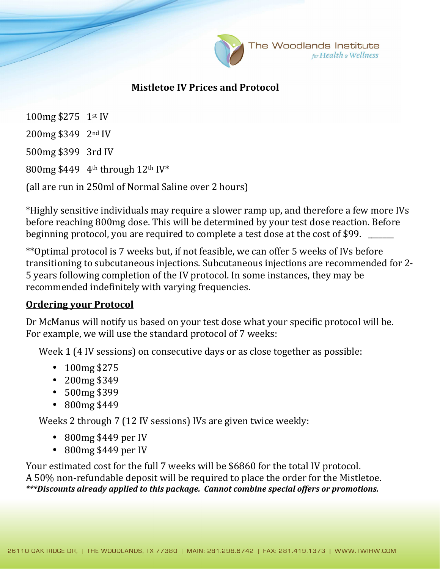

The Woodlands Institute for Health & Wellness

## **Mistletoe IV Prices and Protocol**

100mg \$275 1st IV 200mg \$349 2nd IV 500mg \$399 3rd IV 800mg \$449 4th through 12th IV\* (all are run in 250ml of Normal Saline over 2 hours)

\*Highly sensitive individuals may require a slower ramp up, and therefore a few more IVs before reaching 800mg dose. This will be determined by your test dose reaction. Before beginning protocol, you are required to complete a test dose at the cost of \$99.

\*\*Optimal protocol is 7 weeks but, if not feasible, we can offer 5 weeks of IVs before transitioning to subcutaneous injections. Subcutaneous injections are recommended for 2- 5 years following completion of the IV protocol. In some instances, they may be recommended indefinitely with varying frequencies.

## **Ordering your Protocol**

Dr McManus will notify us based on your test dose what your specific protocol will be. For example, we will use the standard protocol of 7 weeks:

Week 1 (4 IV sessions) on consecutive days or as close together as possible:

- 100mg \$275
- 200mg \$349
- 500mg \$399
- 800mg \$449

Weeks 2 through 7 (12 IV sessions) IVs are given twice weekly:

- 800mg \$449 per IV
- 800mg \$449 per IV

Your estimated cost for the full 7 weeks will be \$6860 for the total IV protocol. A 50% non-refundable deposit will be required to place the order for the Mistletoe. *\*\*\*Discounts already applied to this package. Cannot combine special offers or promotions.*